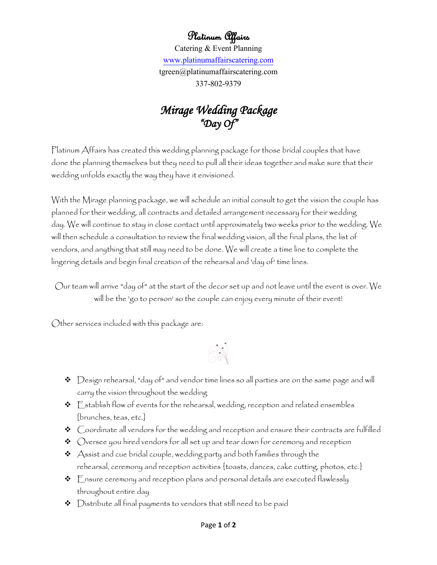## Platinum Affairs

Catering & Event Planning [www.platinumaffairscatering.com](http://www.platinumaffairscatering.com/) tgreen@platinumaffairscatering.com 337-802-9379

## *Mirage Wedding Package "Day Of"*

Platinum Affairs has created this wedding planning package for those bridal couples that have done the planning themselves but they need to pull all their ideas together and make sure that their wedding unfolds exactly the way they have it envisioned.

With the Mirage planning package, we will schedule an initial consult to get the vision the couple has planned for their wedding, all contracts and detailed arrangement necessary for their wedding day. We will continue to stay in close contact until approximately two weeks prior to the wedding. We will then schedule a consultation to review the final wedding vision, all the final plans, the list of vendors, and anything that still may need to be done. We will create a time line to complete the lingering details and begin final creation of the rehearsal and 'day of' time lines.

Our team will arrive "day of" at the start of the decor set up and not leave until the event is over. We will be the 'go to person' so the couple can enjoy every minute of their event!

Other services included with this package are:

## $\mathbb{R}$

- $\bm{\hat{P}}$   $\bm{\triangleright}$  Design rehearsal, "day of" and vendor time lines so all parties are on the same page and will carry the vision throughout the wedding
- $\triangleleft$   $\subseteq$  stablish flow of events for the rehearsal, wedding, reception and related ensembles [brunches, teas, etc.]
- $\triangleleft$  Coordinate all vendors for the wedding and reception and ensure their contracts are fulfilled
- $\bm{\cdot}$   $\bm{\cdot}$   $\bm{\cdot}$   $\bm{\cdot}$   $\bm{\cdot}$   $\bm{\cdot}$   $\bm{\cdot}$   $\bm{\cdot}$   $\bm{\cdot}$   $\bm{\cdot}$   $\bm{\cdot}$   $\bm{\cdot}$   $\bm{\cdot}$   $\bm{\cdot}$   $\bm{\cdot}$   $\bm{\cdot}$   $\bm{\cdot}$   $\bm{\cdot}$   $\bm{\cdot}$   $\bm{\cdot}$   $\bm{\cdot}$   $\bm{\cdot}$   $\bm{\cdot}$   $\bm{\cdot}$   $\bm{\cdot}$   $\bm{\cdot}$   $\bm{\cdot}$   $\bm{\cdot$
- $\boldsymbol{\cdot}$  Assist and cue bridal couple, wedding party and both families through the rehearsal, ceremony and reception activities {toasts, dances, cake cutting, photos, etc.}
- $\div$   $\mathbb{E}$ nsure ceremony and reception plans and personal details are executed flawlessly throughout entire day
- $\bm{\hat{v}}$   $\bm{\triangleright}$  Distribute all final payments to vendors that still need to be paid